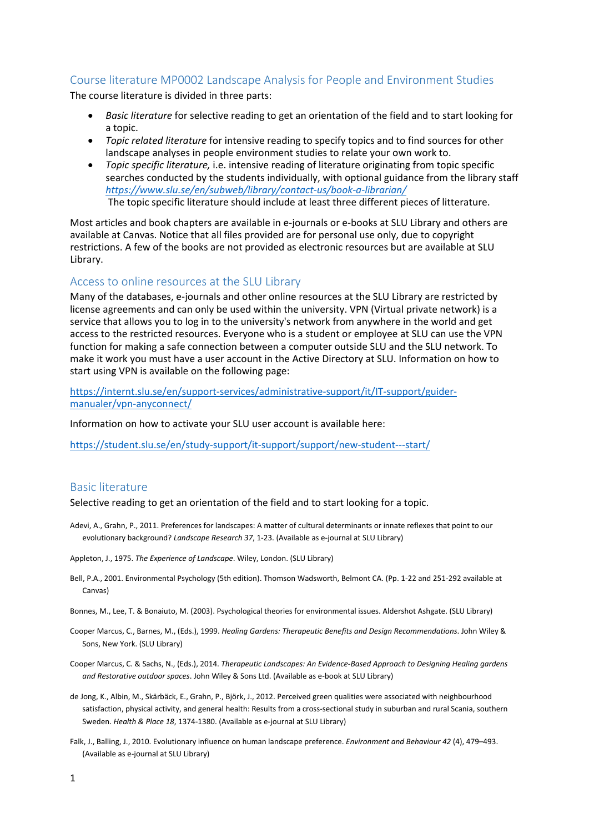# Course literature MP0002 Landscape Analysis for People and Environment Studies

The course literature is divided in three parts:

- *Basic literature* for selective reading to get an orientation of the field and to start looking for a topic.
- *Topic related literature* for intensive reading to specify topics and to find sources for other landscape analyses in people environment studies to relate your own work to.
- *Topic specific literature,* i.e. intensive reading of literature originating from topic specific searches conducted by the students individually, with optional guidance from the library staff *<https://www.slu.se/en/subweb/library/contact-us/book-a-librarian/>* The topic specific literature should include at least three different pieces of litterature.

Most articles and book chapters are available in e-journals or e-books at SLU Library and others are available at Canvas. Notice that all files provided are for personal use only, due to copyright restrictions. A few of the books are not provided as electronic resources but are available at SLU Library.

## Access to online resources at the SLU Library

Many of the databases, e-journals and other online resources at the SLU Library are restricted by license agreements and can only be used within the university. VPN (Virtual private network) is a service that allows you to log in to the university's network from anywhere in the world and get access to the restricted resources. Everyone who is a student or employee at SLU can use the VPN function for making a safe connection between a computer outside SLU and the SLU network. To make it work you must have a user account in the Active Directory at SLU. Information on how to start using VPN is available on the following page:

[https://internt.slu.se/en/support-services/administrative-support/it/IT-support/guider](https://internt.slu.se/en/support-services/administrative-support/it/IT-support/guider-manualer/vpn-anyconnect/)[manualer/vpn-anyconnect/](https://internt.slu.se/en/support-services/administrative-support/it/IT-support/guider-manualer/vpn-anyconnect/)

Information on how to activate your SLU user account is available here:

<https://student.slu.se/en/study-support/it-support/support/new-student---start/>

# Basic literature

Selective reading to get an orientation of the field and to start looking for a topic.

- Adevi, A., Grahn, P., 2011. Preferences for landscapes: A matter of cultural determinants or innate reflexes that point to our evolutionary background? *Landscape Research 37*, 1-23. (Available as e-journal at SLU Library)
- Appleton, J., 1975. *The Experience of Landscape*. Wiley, London. (SLU Library)
- Bell, P.A., 2001. Environmental Psychology (5th edition). Thomson Wadsworth, Belmont CA. (Pp. 1-22 and 251-292 available at Canvas)
- Bonnes, M., Lee, T. & Bonaiuto, M. (2003). Psychological theories for environmental issues. Aldershot Ashgate. (SLU Library)
- Cooper Marcus, C., Barnes, M., (Eds.), 1999. *Healing Gardens: Therapeutic Benefits and Design Recommendations*. John Wiley & Sons, New York. (SLU Library)
- Cooper Marcus, C. & Sachs, N., (Eds.), 2014. *Therapeutic Landscapes: An Evidence-Based Approach to Designing Healing gardens and Restorative outdoor spaces*. John Wiley & Sons Ltd. (Available as e-book at SLU Library)
- de Jong, K., Albin, M., Skärbäck, E., Grahn, P., Björk, J., 2012. Perceived green qualities were associated with neighbourhood satisfaction, physical activity, and general health: Results from a cross-sectional study in suburban and rural Scania, southern Sweden. *Health & Place 18*, 1374-1380. (Available as e-journal at SLU Library)
- Falk, J., Balling, J., 2010. Evolutionary influence on human landscape preference. *Environment and Behaviour 42* (4), 479–493. (Available as e-journal at SLU Library)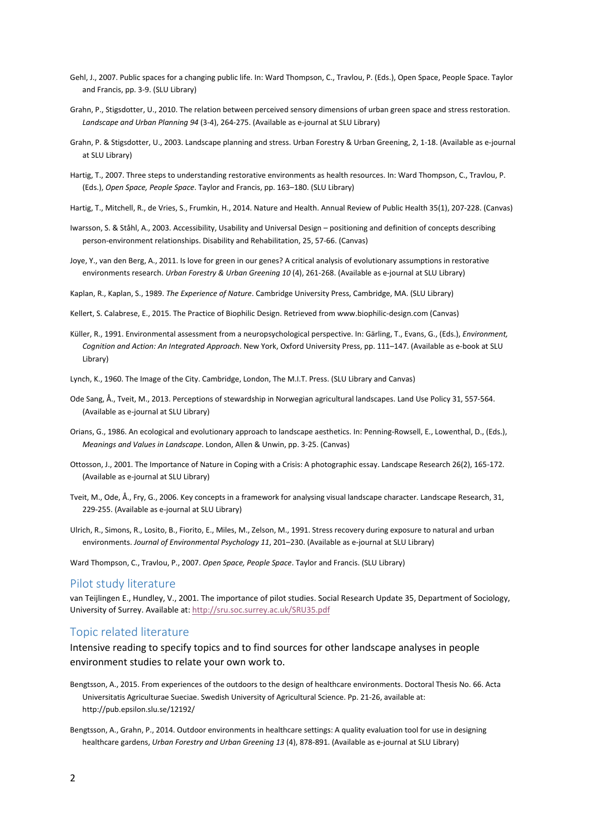- Gehl, J., 2007. Public spaces for a changing public life. In: Ward Thompson, C., Travlou, P. (Eds.), Open Space, People Space. Taylor and Francis, pp. 3-9. (SLU Library)
- Grahn, P., Stigsdotter, U., 2010. The relation between perceived sensory dimensions of urban green space and stress restoration. *Landscape and Urban Planning 94* (3-4), 264-275. (Available as e-journal at SLU Library)
- Grahn, P. & Stigsdotter, U., 2003. Landscape planning and stress. Urban Forestry & Urban Greening, 2, 1-18. (Available as e-journal at SLU Library)
- Hartig, T., 2007. Three steps to understanding restorative environments as health resources. In: Ward Thompson, C., Travlou, P. (Eds.), *Open Space, People Space*. Taylor and Francis, pp. 163–180. (SLU Library)
- Hartig, T., Mitchell, R., de Vries, S., Frumkin, H., 2014. Nature and Health. Annual Review of Public Health 35(1), 207-228. (Canvas)
- Iwarsson, S. & Ståhl, A., 2003. Accessibility, Usability and Universal Design positioning and definition of concepts describing person-environment relationships. Disability and Rehabilitation, 25, 57-66. (Canvas)
- Joye, Y., van den Berg, A., 2011. Is love for green in our genes? A critical analysis of evolutionary assumptions in restorative environments research. *Urban Forestry & Urban Greening 10* (4), 261-268. (Available as e-journal at SLU Library)
- Kaplan, R., Kaplan, S., 1989. *The Experience of Nature*. Cambridge University Press, Cambridge, MA. (SLU Library)

Kellert, S. Calabrese, E., 2015. The Practice of Biophilic Design. Retrieved from www.biophilic-design.com (Canvas)

- Küller, R., 1991. Environmental assessment from a neuropsychological perspective. In: Gärling, T., Evans, G., (Eds.), *Environment, Cognition and Action: An Integrated Approach*. New York, Oxford University Press, pp. 111–147. (Available as e-book at SLU Library)
- Lynch, K., 1960. The Image of the City. Cambridge, London, The M.I.T. Press. (SLU Library and Canvas)
- Ode Sang, Å., Tveit, M., 2013. Perceptions of stewardship in Norwegian agricultural landscapes. Land Use Policy 31, 557-564. (Available as e-journal at SLU Library)
- Orians, G., 1986. An ecological and evolutionary approach to landscape aesthetics. In: Penning-Rowsell, E., Lowenthal, D., (Eds.), *Meanings and Values in Landscape*. London, Allen & Unwin, pp. 3-25. (Canvas)
- Ottosson, J., 2001. The Importance of Nature in Coping with a Crisis: A photographic essay. Landscape Research 26(2), 165-172. (Available as e-journal at SLU Library)
- Tveit, M., Ode, Å., Fry, G., 2006. Key concepts in a framework for analysing visual landscape character. Landscape Research, 31, 229-255. (Available as e-journal at SLU Library)
- Ulrich, R., Simons, R., Losito, B., Fiorito, E., Miles, M., Zelson, M., 1991. Stress recovery during exposure to natural and urban environments. *Journal of Environmental Psychology 11*, 201–230. (Available as e-journal at SLU Library)

Ward Thompson, C., Travlou, P., 2007. *Open Space, People Space*. Taylor and Francis. (SLU Library)

#### Pilot study literature

van Teijlingen E., Hundley, V., 2001. The importance of pilot studies. Social Research Update 35, Department of Sociology, University of Surrey. Available at[: http://sru.soc.surrey.ac.uk/SRU35.pdf](http://sru.soc.surrey.ac.uk/SRU35.pdf)

## Topic related literature

Intensive reading to specify topics and to find sources for other landscape analyses in people environment studies to relate your own work to.

- Bengtsson, A., 2015. From experiences of the outdoors to the design of healthcare environments. Doctoral Thesis No. 66. Acta Universitatis Agriculturae Sueciae. Swedish University of Agricultural Science. Pp. 21-26, available at: http://pub.epsilon.slu.se/12192/
- Bengtsson, A., Grahn, P., 2014. Outdoor environments in healthcare settings: A quality evaluation tool for use in designing healthcare gardens, *Urban Forestry and Urban Greening 13* (4), 878-891. (Available as e-journal at SLU Library)